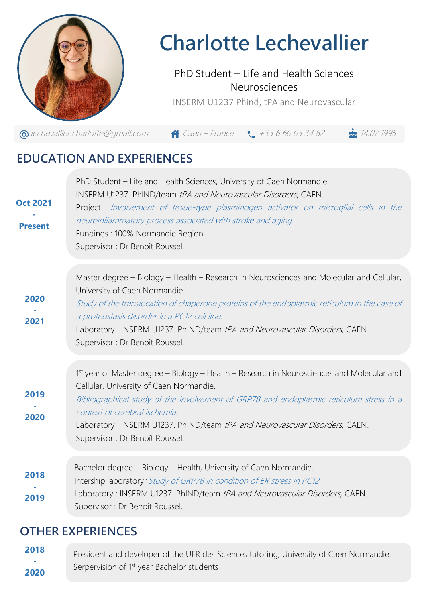

# **Charlotte Lechevallier**

#### PhD Student – Life and Health Sciences Neurosciences

INSERM U1237 Phind, tPA and Neurovascular Disorders

 $\bigcirc$  [lechevallier.charlotte@gmail.com](mailto:lechevallier.charlotte@gmail.com)  $\bigcirc$  Caen – France  $\bigcirc$  +33 6 60 03 34 82  $\bigcirc$  14.07.1995

## **EDUCATION AND EXPERIENCES**

| neuroinflammatory process associated with stroke and aging.<br><b>Present</b><br>Fundings: 100% Normandie Region.<br>Supervisor : Dr Benoît Roussel.                                                                                                                                                                                                                                                        |  |
|-------------------------------------------------------------------------------------------------------------------------------------------------------------------------------------------------------------------------------------------------------------------------------------------------------------------------------------------------------------------------------------------------------------|--|
| Master degree - Biology - Health - Research in Neurosciences and Molecular and Cellular,<br>University of Caen Normandie.<br>2020<br>Study of the translocation of chaperone proteins of the endoplasmic reticulum in the case of<br>a proteostasis disorder in a PC12 cell line.<br>2021<br>Laboratory: INSERM U1237. PhIND/team tPA and Neurovascular Disorders, CAEN.<br>Supervisor : Dr Benoît Roussel. |  |
| 1st year of Master degree – Biology – Health – Research in Neurosciences and Molecular and<br>Cellular, University of Caen Normandie.<br>2019<br>Bibliographical study of the involvement of GRP78 and endoplasmic reticulum stress in a<br>context of cerebral ischemia.<br>2020<br>Laboratory: INSERM U1237. PhIND/team tPA and Neurovascular Disorders, CAEN.<br>Supervisor : Dr Benoît Roussel.         |  |
| Bachelor degree - Biology - Health, University of Caen Normandie.<br>2018<br>Intership laboratory: Study of GRP78 in condition of ER stress in PC12.<br>Laboratory: INSERM U1237. PhIND/team tPA and Neurovascular Disorders, CAEN.<br>2019<br>Supervisor : Dr Benoît Roussel.                                                                                                                              |  |

### **OTHER EXPERIENCES**

President and developer of the UFR des Sciences tutoring, University of Caen Normandie. Serpervision of 1<sup>st</sup> year Bachelor students **2018 - 2020**